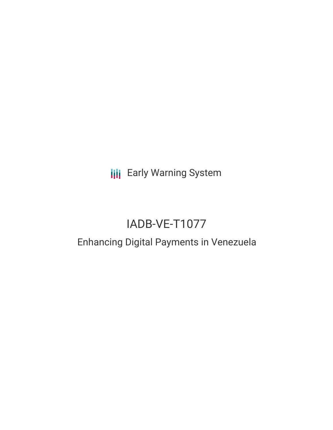**III** Early Warning System

# IADB-VE-T1077

## Enhancing Digital Payments in Venezuela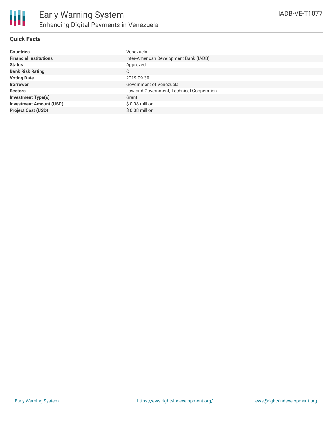#### **Quick Facts**

| <b>Countries</b>               | Venezuela                                 |
|--------------------------------|-------------------------------------------|
| <b>Financial Institutions</b>  | Inter-American Development Bank (IADB)    |
| <b>Status</b>                  | Approved                                  |
| <b>Bank Risk Rating</b>        | C                                         |
| <b>Voting Date</b>             | 2019-09-30                                |
| <b>Borrower</b>                | Government of Venezuela                   |
| <b>Sectors</b>                 | Law and Government, Technical Cooperation |
| <b>Investment Type(s)</b>      | Grant                                     |
| <b>Investment Amount (USD)</b> | $$0.08$ million                           |
| <b>Project Cost (USD)</b>      | $$0.08$ million                           |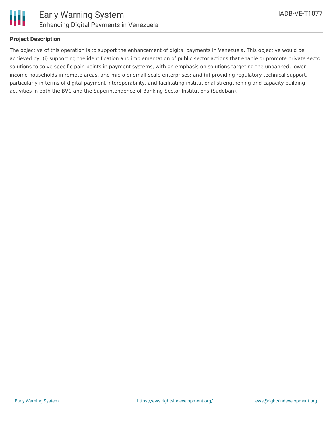

#### **Project Description**

The objective of this operation is to support the enhancement of digital payments in Venezuela. This objective would be achieved by: (i) supporting the identification and implementation of public sector actions that enable or promote private sector solutions to solve specific pain-points in payment systems, with an emphasis on solutions targeting the unbanked, lower income households in remote areas, and micro or small-scale enterprises; and (ii) providing regulatory technical support, particularly in terms of digital payment interoperability, and facilitating institutional strengthening and capacity building activities in both the BVC and the Superintendence of Banking Sector Institutions (Sudeban).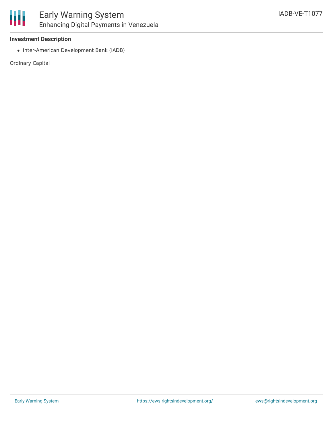

#### **Investment Description**

• Inter-American Development Bank (IADB)

Ordinary Capital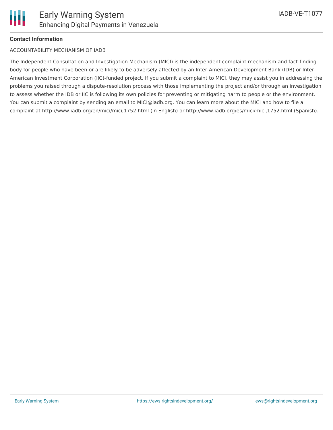

#### **Contact Information**

#### ACCOUNTABILITY MECHANISM OF IADB

The Independent Consultation and Investigation Mechanism (MICI) is the independent complaint mechanism and fact-finding body for people who have been or are likely to be adversely affected by an Inter-American Development Bank (IDB) or Inter-American Investment Corporation (IIC)-funded project. If you submit a complaint to MICI, they may assist you in addressing the problems you raised through a dispute-resolution process with those implementing the project and/or through an investigation to assess whether the IDB or IIC is following its own policies for preventing or mitigating harm to people or the environment. You can submit a complaint by sending an email to MICI@iadb.org. You can learn more about the MICI and how to file a complaint at http://www.iadb.org/en/mici/mici,1752.html (in English) or http://www.iadb.org/es/mici/mici,1752.html (Spanish).